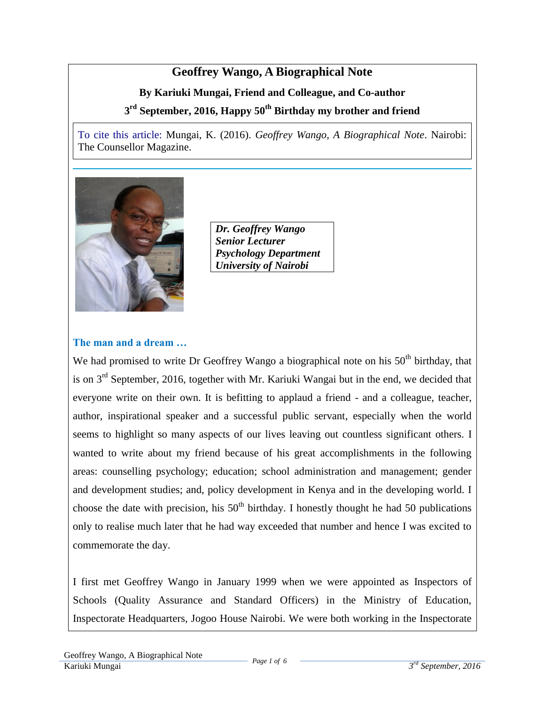# **Geoffrey Wango, A Biographical Note**

# **By Kariuki Mungai, Friend and Colleague, and Co-author**

# **3 rd September, 2016, Happy 50th Birthday my brother and friend**

To cite this article: Mungai, K. (2016). *Geoffrey Wango, A Biographical Note*. Nairobi: The Counsellor Magazine.



*Dr. Geoffrey Wango Senior Lecturer Psychology Department University of Nairobi*

#### **The man and a dream …**

We had promised to write Dr Geoffrey Wango a biographical note on his  $50<sup>th</sup>$  birthday, that is on 3rd September, 2016, together with Mr. Kariuki Wangai but in the end, we decided that everyone write on their own. It is befitting to applaud a friend - and a colleague, teacher, author, inspirational speaker and a successful public servant, especially when the world seems to highlight so many aspects of our lives leaving out countless significant others. I wanted to write about my friend because of his great accomplishments in the following areas: counselling psychology; education; school administration and management; gender and development studies; and, policy development in Kenya and in the developing world. I choose the date with precision, his  $50<sup>th</sup>$  birthday. I honestly thought he had 50 publications only to realise much later that he had way exceeded that number and hence I was excited to commemorate the day.

I first met Geoffrey Wango in January 1999 when we were appointed as Inspectors of Schools (Quality Assurance and Standard Officers) in the Ministry of Education, Inspectorate Headquarters, Jogoo House Nairobi. We were both working in the Inspectorate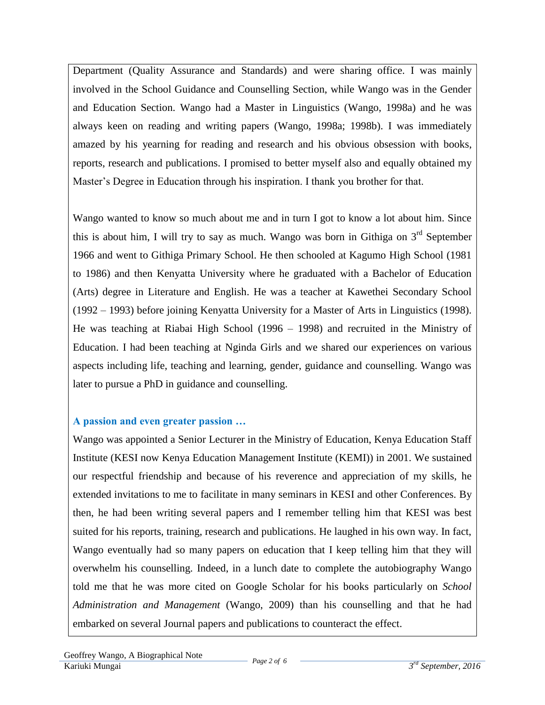Department (Quality Assurance and Standards) and were sharing office. I was mainly involved in the School Guidance and Counselling Section, while Wango was in the Gender and Education Section. Wango had a Master in Linguistics (Wango, 1998a) and he was always keen on reading and writing papers (Wango, 1998a; 1998b). I was immediately amazed by his yearning for reading and research and his obvious obsession with books, reports, research and publications. I promised to better myself also and equally obtained my Master's Degree in Education through his inspiration. I thank you brother for that.

Wango wanted to know so much about me and in turn I got to know a lot about him. Since this is about him, I will try to say as much. Wango was born in Githiga on  $3<sup>rd</sup>$  September 1966 and went to Githiga Primary School. He then schooled at Kagumo High School (1981 to 1986) and then Kenyatta University where he graduated with a Bachelor of Education (Arts) degree in Literature and English. He was a teacher at Kawethei Secondary School (1992 – 1993) before joining Kenyatta University for a Master of Arts in Linguistics (1998). He was teaching at Riabai High School (1996 – 1998) and recruited in the Ministry of Education. I had been teaching at Nginda Girls and we shared our experiences on various aspects including life, teaching and learning, gender, guidance and counselling. Wango was later to pursue a PhD in guidance and counselling.

### **A passion and even greater passion …**

Wango was appointed a Senior Lecturer in the Ministry of Education, Kenya Education Staff Institute (KESI now Kenya Education Management Institute (KEMI)) in 2001. We sustained our respectful friendship and because of his reverence and appreciation of my skills, he extended invitations to me to facilitate in many seminars in KESI and other Conferences. By then, he had been writing several papers and I remember telling him that KESI was best suited for his reports, training, research and publications. He laughed in his own way. In fact, Wango eventually had so many papers on education that I keep telling him that they will overwhelm his counselling. Indeed, in a lunch date to complete the autobiography Wango told me that he was more cited on Google Scholar for his books particularly on *School Administration and Management* (Wango, 2009) than his counselling and that he had embarked on several Journal papers and publications to counteract the effect.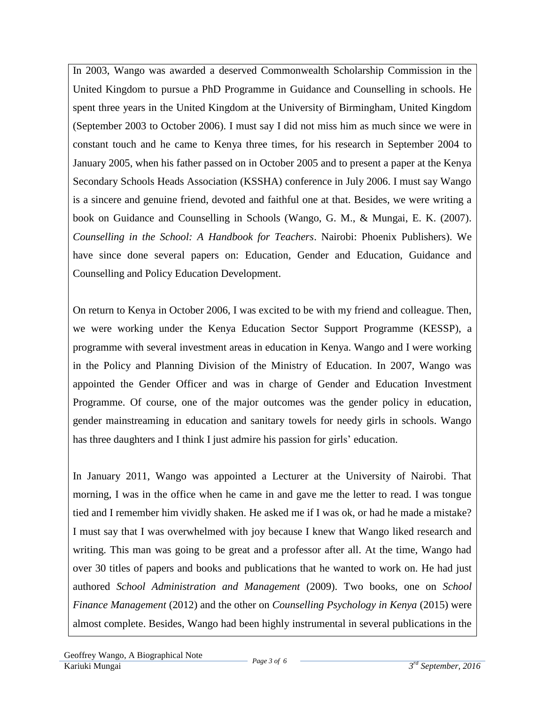In 2003, Wango was awarded a deserved Commonwealth Scholarship Commission in the United Kingdom to pursue a PhD Programme in Guidance and Counselling in schools. He spent three years in the United Kingdom at the University of Birmingham, United Kingdom (September 2003 to October 2006). I must say I did not miss him as much since we were in constant touch and he came to Kenya three times, for his research in September 2004 to January 2005, when his father passed on in October 2005 and to present a paper at the Kenya Secondary Schools Heads Association (KSSHA) conference in July 2006. I must say Wango is a sincere and genuine friend, devoted and faithful one at that. Besides, we were writing a book on Guidance and Counselling in Schools (Wango, G. M., & Mungai, E. K. (2007). *Counselling in the School: A Handbook for Teachers*. Nairobi: Phoenix Publishers). We have since done several papers on: Education, Gender and Education, Guidance and Counselling and Policy Education Development.

On return to Kenya in October 2006, I was excited to be with my friend and colleague. Then, we were working under the Kenya Education Sector Support Programme (KESSP), a programme with several investment areas in education in Kenya. Wango and I were working in the Policy and Planning Division of the Ministry of Education. In 2007, Wango was appointed the Gender Officer and was in charge of Gender and Education Investment Programme. Of course, one of the major outcomes was the gender policy in education, gender mainstreaming in education and sanitary towels for needy girls in schools. Wango has three daughters and I think I just admire his passion for girls' education.

In January 2011, Wango was appointed a Lecturer at the University of Nairobi. That morning, I was in the office when he came in and gave me the letter to read. I was tongue tied and I remember him vividly shaken. He asked me if I was ok, or had he made a mistake? I must say that I was overwhelmed with joy because I knew that Wango liked research and writing. This man was going to be great and a professor after all. At the time, Wango had over 30 titles of papers and books and publications that he wanted to work on. He had just authored *School Administration and Management* (2009). Two books, one on *School Finance Management* (2012) and the other on *Counselling Psychology in Kenya* (2015) were almost complete. Besides, Wango had been highly instrumental in several publications in the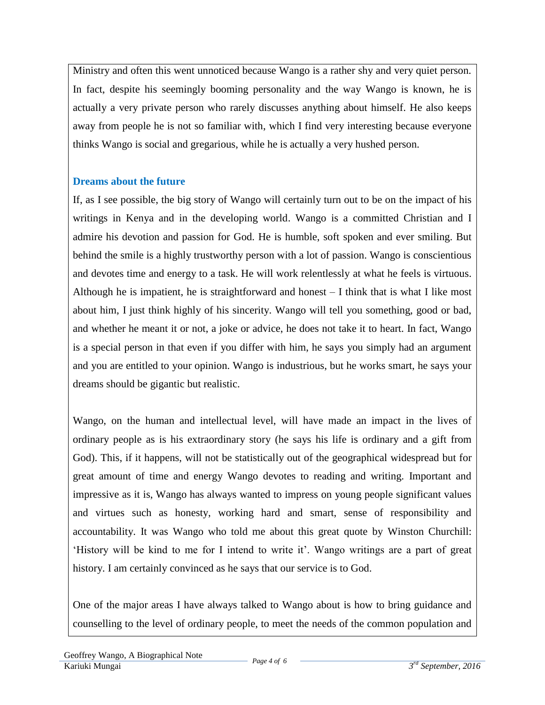Ministry and often this went unnoticed because Wango is a rather shy and very quiet person. In fact, despite his seemingly booming personality and the way Wango is known, he is actually a very private person who rarely discusses anything about himself. He also keeps away from people he is not so familiar with, which I find very interesting because everyone thinks Wango is social and gregarious, while he is actually a very hushed person.

# **Dreams about the future**

If, as I see possible, the big story of Wango will certainly turn out to be on the impact of his writings in Kenya and in the developing world. Wango is a committed Christian and I admire his devotion and passion for God. He is humble, soft spoken and ever smiling. But behind the smile is a highly trustworthy person with a lot of passion. Wango is conscientious and devotes time and energy to a task. He will work relentlessly at what he feels is virtuous. Although he is impatient, he is straightforward and honest – I think that is what I like most about him, I just think highly of his sincerity. Wango will tell you something, good or bad, and whether he meant it or not, a joke or advice, he does not take it to heart. In fact, Wango is a special person in that even if you differ with him, he says you simply had an argument and you are entitled to your opinion. Wango is industrious, but he works smart, he says your dreams should be gigantic but realistic.

Wango, on the human and intellectual level, will have made an impact in the lives of ordinary people as is his extraordinary story (he says his life is ordinary and a gift from God). This, if it happens, will not be statistically out of the geographical widespread but for great amount of time and energy Wango devotes to reading and writing. Important and impressive as it is, Wango has always wanted to impress on young people significant values and virtues such as honesty, working hard and smart, sense of responsibility and accountability. It was Wango who told me about this great quote by Winston Churchill: 'History will be kind to me for I intend to write it'. Wango writings are a part of great history. I am certainly convinced as he says that our service is to God.

One of the major areas I have always talked to Wango about is how to bring guidance and counselling to the level of ordinary people, to meet the needs of the common population and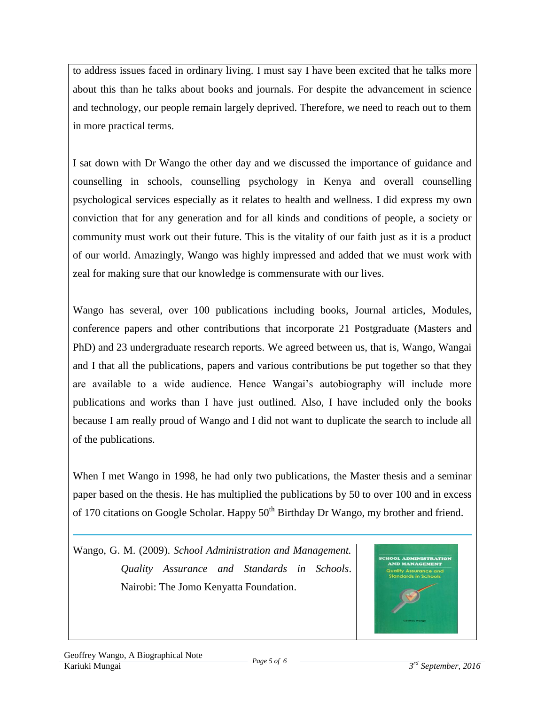to address issues faced in ordinary living. I must say I have been excited that he talks more about this than he talks about books and journals. For despite the advancement in science and technology, our people remain largely deprived. Therefore, we need to reach out to them in more practical terms.

I sat down with Dr Wango the other day and we discussed the importance of guidance and counselling in schools, counselling psychology in Kenya and overall counselling psychological services especially as it relates to health and wellness. I did express my own conviction that for any generation and for all kinds and conditions of people, a society or community must work out their future. This is the vitality of our faith just as it is a product of our world. Amazingly, Wango was highly impressed and added that we must work with zeal for making sure that our knowledge is commensurate with our lives.

Wango has several, over 100 publications including books, Journal articles, Modules, conference papers and other contributions that incorporate 21 Postgraduate (Masters and PhD) and 23 undergraduate research reports. We agreed between us, that is, Wango, Wangai and I that all the publications, papers and various contributions be put together so that they are available to a wide audience. Hence Wangai's autobiography will include more publications and works than I have just outlined. Also, I have included only the books because I am really proud of Wango and I did not want to duplicate the search to include all of the publications.

When I met Wango in 1998, he had only two publications, the Master thesis and a seminar paper based on the thesis. He has multiplied the publications by 50 to over 100 and in excess of 170 citations on Google Scholar. Happy 50<sup>th</sup> Birthday Dr Wango, my brother and friend.

Wango, G. M. (2009). *School Administration and Management. Quality Assurance and Standards in Schools*. Nairobi: The Jomo Kenyatta Foundation.